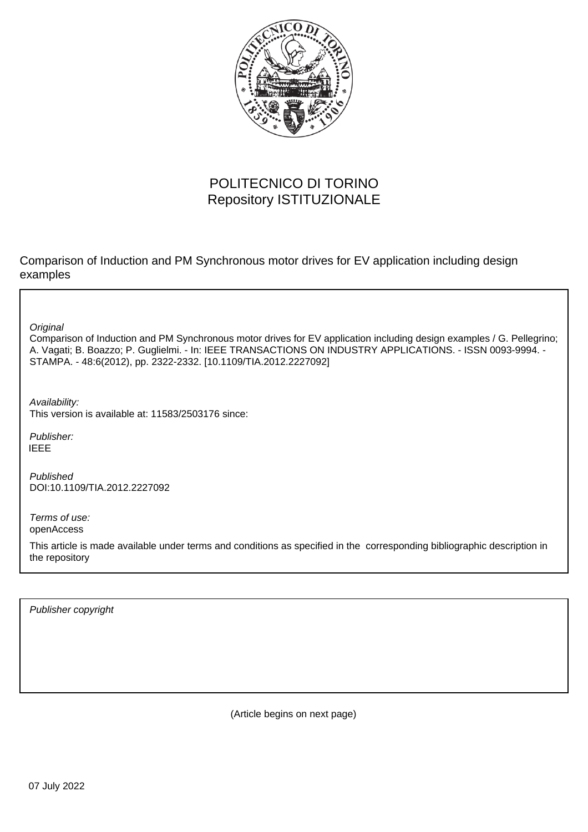

# POLITECNICO DI TORINO Repository ISTITUZIONALE

Comparison of Induction and PM Synchronous motor drives for EV application including design examples

**Original** 

Comparison of Induction and PM Synchronous motor drives for EV application including design examples / G. Pellegrino; A. Vagati; B. Boazzo; P. Guglielmi. - In: IEEE TRANSACTIONS ON INDUSTRY APPLICATIONS. - ISSN 0093-9994. - STAMPA. - 48:6(2012), pp. 2322-2332. [10.1109/TIA.2012.2227092]

Availability: This version is available at: 11583/2503176 since:

Publisher: IEEE

Published DOI:10.1109/TIA.2012.2227092

Terms of use: openAccess

This article is made available under terms and conditions as specified in the corresponding bibliographic description in the repository

Publisher copyright

(Article begins on next page)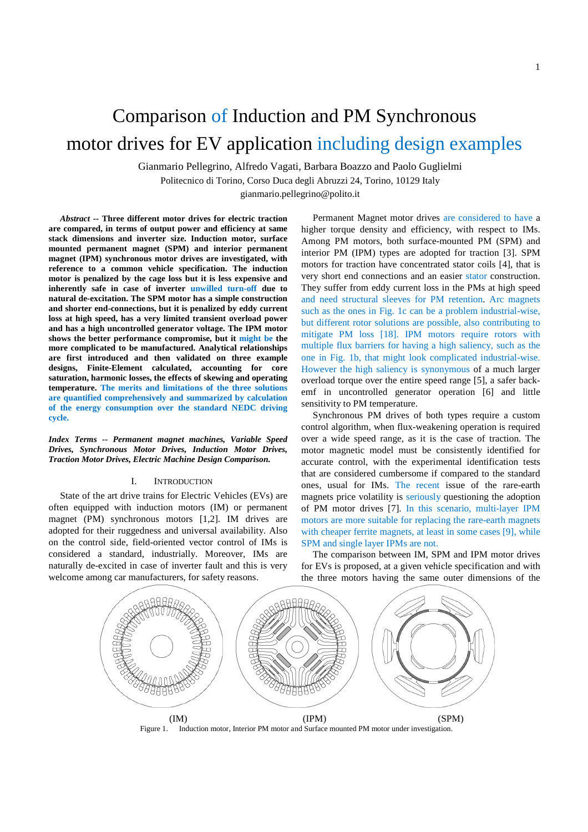# Comparison of Induction and PM Synchronous motor drives for EV application including design examples

Gianmario Pellegrino, Alfredo Vagati, Barbara Boazzo and Paolo Guglielmi

Politecnico di Torino, Corso Duca degli Abruzzi 24, Torino, 10129 Italy

gianmario.pellegrino@polito.it

*Abstract* **-- Three different motor drives for electric traction are compared, in terms of output power and efficiency at same stack dimensions and inverter size. Induction motor, surface mounted permanent magnet (SPM) and interior permanent magnet (IPM) synchronous motor drives are investigated, with reference to a common vehicle specification. The induction motor is penalized by the cage loss but it is less expensive and inherently safe in case of inverter unwilled turn-off due to natural de-excitation. The SPM motor has a simple construction and shorter end-connections, but it is penalized by eddy current loss at high speed, has a very limited transient overload power and has a high uncontrolled generator voltage. The IPM motor shows the better performance compromise, but it might be the more complicated to be manufactured. Analytical relationships are first introduced and then validated on three example designs, Finite-Element calculated, accounting for core saturation, harmonic losses, the effects of skewing and operating temperature. The merits and limitations of the three solutions are quantified comprehensively and summarized by calculation of the energy consumption over the standard NEDC driving cycle.**

*Index Terms -- Permanent magnet machines, Variable Speed Drives, Synchronous Motor Drives, Induction Motor Drives, Traction Motor Drives, Electric Machine Design Comparison.* 

#### I. INTRODUCTION

State of the art drive trains for Electric Vehicles (EVs) are often equipped with induction motors (IM) or permanent magnet (PM) synchronous motors [1,2]. IM drives are adopted for their ruggedness and universal availability. Also on the control side, field-oriented vector control of IMs is considered a standard, industrially. Moreover, IMs are naturally de-excited in case of inverter fault and this is very welcome among car manufacturers, for safety reasons.

Permanent Magnet motor drives are considered to have a higher torque density and efficiency, with respect to IMs. Among PM motors, both surface-mounted PM (SPM) and interior PM (IPM) types are adopted for traction [3]. SPM motors for traction have concentrated stator coils [4], that is very short end connections and an easier stator construction. They suffer from eddy current loss in the PMs at high speed and need structural sleeves for PM retention. Arc magnets such as the ones in Fig. 1c can be a problem industrial-wise, but different rotor solutions are possible, also contributing to mitigate PM loss [18]. IPM motors require rotors with multiple flux barriers for having a high saliency, such as the one in Fig. 1b, that might look complicated industrial-wise. However the high saliency is synonymous of a much larger overload torque over the entire speed range [5], a safer backemf in uncontrolled generator operation [6] and little sensitivity to PM temperature.

Synchronous PM drives of both types require a custom control algorithm, when flux-weakening operation is required over a wide speed range, as it is the case of traction. The motor magnetic model must be consistently identified for accurate control, with the experimental identification tests that are considered cumbersome if compared to the standard ones, usual for IMs. The recent issue of the rare-earth magnets price volatility is seriously questioning the adoption of PM motor drives [7]. In this scenario, multi-layer IPM motors are more suitable for replacing the rare-earth magnets with cheaper ferrite magnets, at least in some cases [9], while SPM and single layer IPMs are not.

The comparison between IM, SPM and IPM motor drives for EVs is proposed, at a given vehicle specification and with the three motors having the same outer dimensions of the



Figure 1. Induction motor, Interior PM motor and Surface mounted PM motor under investigation.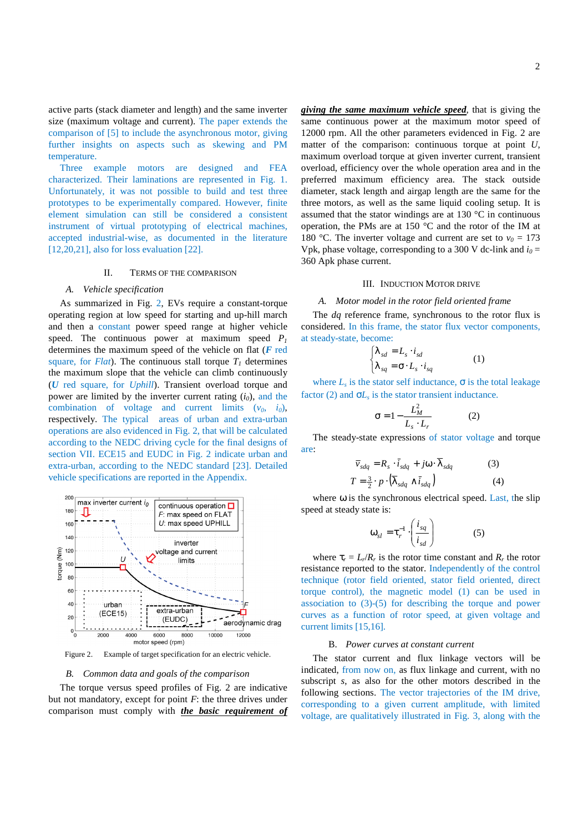active parts (stack diameter and length) and the same inverter size (maximum voltage and current). The paper extends the comparison of [5] to include the asynchronous motor, giving further insights on aspects such as skewing and PM temperature.

Three example motors are designed and FEA characterized. Their laminations are represented in Fig. 1. Unfortunately, it was not possible to build and test three prototypes to be experimentally compared. However, finite element simulation can still be considered a consistent instrument of virtual prototyping of electrical machines, accepted industrial-wise, as documented in the literature [12,20,21], also for loss evaluation [22].

#### II. TERMS OF THE COMPARISON

#### *A. Vehicle specification*

As summarized in Fig. 2, EVs require a constant-torque operating region at low speed for starting and up-hill march and then a constant power speed range at higher vehicle speed. The continuous power at maximum speed  $P_1$ determines the maximum speed of the vehicle on flat (*F* red square, for *Flat*). The continuous stall torque  $T<sub>1</sub>$  determines the maximum slope that the vehicle can climb continuously (*U* red square, for *Uphill*). Transient overload torque and power are limited by the inverter current rating  $(i_0)$ , and the combination of voltage and current limits  $(v_0, i_0)$ , respectively. The typical areas of urban and extra-urban operations are also evidenced in Fig. 2, that will be calculated according to the NEDC driving cycle for the final designs of section VII. ECE15 and EUDC in Fig. 2 indicate urban and extra-urban, according to the NEDC standard [23]. Detailed vehicle specifications are reported in the Appendix.



Figure 2. Example of target specification for an electric vehicle.

#### *B. Common data and goals of the comparison*

The torque versus speed profiles of Fig. 2 are indicative but not mandatory, except for point *F*: the three drives under comparison must comply with *the basic requirement of*  *giving the same maximum vehicle speed*, that is giving the same continuous power at the maximum motor speed of 12000 rpm. All the other parameters evidenced in Fig. 2 are matter of the comparison: continuous torque at point *U*, maximum overload torque at given inverter current, transient overload, efficiency over the whole operation area and in the preferred maximum efficiency area. The stack outside diameter, stack length and airgap length are the same for the three motors, as well as the same liquid cooling setup. It is assumed that the stator windings are at 130 °C in continuous operation, the PMs are at 150 $\degree$ C and the rotor of the IM at 180 °C. The inverter voltage and current are set to  $v_0 = 173$ Vpk, phase voltage, corresponding to a 300 V dc-link and  $i_0$  = 360 Apk phase current.

#### III. INDUCTION MOTOR DRIVE

#### *A. Motor model in the rotor field oriented frame*

The *dq* reference frame, synchronous to the rotor flux is considered. In this frame, the stator flux vector components, at steady-state, become:

$$
\begin{cases} \lambda_{sd} = L_s \cdot i_{sd} \\ \lambda_{sq} = \sigma \cdot L_s \cdot i_{sq} \end{cases} (1)
$$

where  $L<sub>s</sub>$  is the stator self inductance,  $\sigma$  is the total leakage factor (2) and  $\sigma L_s$  is the stator transient inductance.

$$
\sigma = 1 - \frac{L_M^2}{L_s \cdot L_r} \tag{2}
$$

The steady-state expressions of stator voltage and torque are:

$$
\overline{v}_{sdq} = R_s \cdot \overline{i}_{sdq} + j\omega \cdot \lambda_{sdq}
$$
\n(3)  
\n
$$
T = \frac{3}{2} \cdot p \cdot (\overline{\lambda}_{sdq} \wedge \overline{i}_{sdq})
$$
\n(4)

where  $\omega$  is the synchronous electrical speed. Last, the slip speed at steady state is:

$$
\omega_{sl} = \tau_r^{-1} \cdot \left( \frac{i_{sq}}{i_{sd}} \right) \tag{5}
$$

where  $\tau_r = L_r/R_r$  is the rotor time constant and  $R_r$  the rotor resistance reported to the stator. Independently of the control technique (rotor field oriented, stator field oriented, direct torque control), the magnetic model (1) can be used in association to (3)-(5) for describing the torque and power curves as a function of rotor speed, at given voltage and current limits [15,16].

## B. *Power curves at constant current*

The stator current and flux linkage vectors will be indicated, from now on, as flux linkage and current, with no subscript *s*, as also for the other motors described in the following sections. The vector trajectories of the IM drive, corresponding to a given current amplitude, with limited voltage, are qualitatively illustrated in Fig. 3, along with the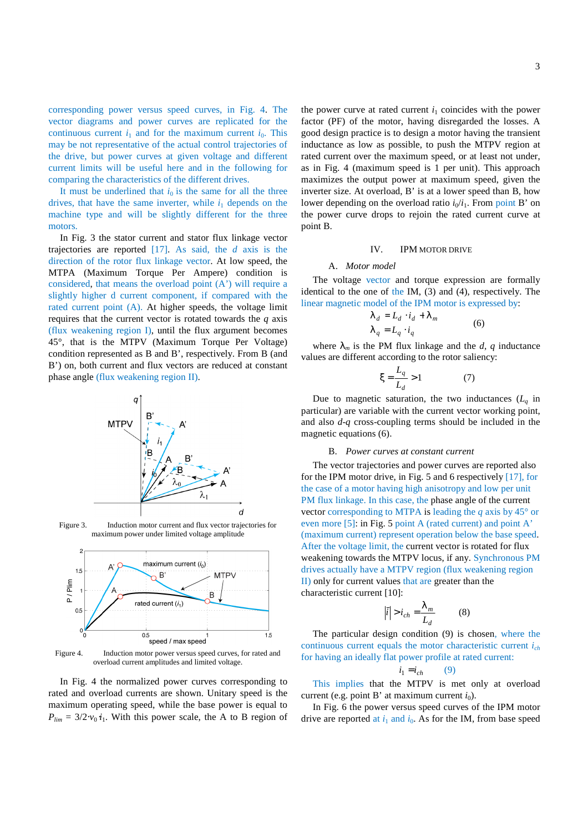corresponding power versus speed curves, in Fig. 4. The vector diagrams and power curves are replicated for the continuous current  $i_1$  and for the maximum current  $i_0$ . This may be not representative of the actual control trajectories of the drive, but power curves at given voltage and different current limits will be useful here and in the following for comparing the characteristics of the different drives.

It must be underlined that  $i_0$  is the same for all the three drives, that have the same inverter, while  $i_1$  depends on the machine type and will be slightly different for the three motors.

In Fig. 3 the stator current and stator flux linkage vector trajectories are reported [17]. As said, the *d* axis is the direction of the rotor flux linkage vector. At low speed, the MTPA (Maximum Torque Per Ampere) condition is considered, that means the overload point (A') will require a slightly higher d current component, if compared with the rated current point (A). At higher speeds, the voltage limit requires that the current vector is rotated towards the *q* axis (flux weakening region I), until the flux argument becomes 45°, that is the MTPV (Maximum Torque Per Voltage) condition represented as B and B', respectively. From B (and B') on, both current and flux vectors are reduced at constant phase angle (flux weakening region II).



Figure 3. Induction motor current and flux vector trajectories for maximum power under limited voltage amplitude



Figure 4. Induction motor power versus speed curves, for rated and overload current amplitudes and limited voltage.

In Fig. 4 the normalized power curves corresponding to rated and overload currents are shown. Unitary speed is the maximum operating speed, while the base power is equal to  $P_{lim} = 3/2 \cdot v_0 \cdot i_1$ . With this power scale, the A to B region of

the power curve at rated current  $i_1$  coincides with the power factor (PF) of the motor, having disregarded the losses. A good design practice is to design a motor having the transient inductance as low as possible, to push the MTPV region at rated current over the maximum speed, or at least not under, as in Fig. 4 (maximum speed is 1 per unit). This approach maximizes the output power at maximum speed, given the inverter size. At overload, B' is at a lower speed than B, how lower depending on the overload ratio  $i_0/i_1$ . From point B' on the power curve drops to rejoin the rated current curve at point B.

#### IV. IPM MOTOR DRIVE

#### A. *Motor model*

The voltage vector and torque expression are formally identical to the one of the IM,  $(3)$  and  $(4)$ , respectively. The linear magnetic model of the IPM motor is expressed by:

$$
\begin{aligned} \lambda_d &= L_d \cdot i_d + \lambda_m \\ \lambda_q &= L_q \cdot i_q \end{aligned} \tag{6}
$$

where  $\lambda_m$  is the PM flux linkage and the *d*, *q* inductance values are different according to the rotor saliency:

$$
\xi = \frac{L_q}{L_d} > 1\tag{7}
$$

Due to magnetic saturation, the two inductances  $(L_q)$  in particular) are variable with the current vector working point, and also *d*-*q* cross-coupling terms should be included in the magnetic equations (6).

#### B. *Power curves at constant current*

The vector trajectories and power curves are reported also for the IPM motor drive, in Fig. 5 and 6 respectively [17], for the case of a motor having high anisotropy and low per unit PM flux linkage. In this case, the phase angle of the current vector corresponding to MTPA is leading the *q* axis by 45° or even more [5]: in Fig. 5 point A (rated current) and point A' (maximum current) represent operation below the base speed. After the voltage limit, the current vector is rotated for flux weakening towards the MTPV locus, if any. Synchronous PM drives actually have a MTPV region (flux weakening region II) only for current values that are greater than the characteristic current [10]:

$$
|\vec{i}| > i_{ch} = \frac{\lambda_m}{L_d} \tag{8}
$$

The particular design condition (9) is chosen, where the continuous current equals the motor characteristic current *ich*  for having an ideally flat power profile at rated current:

$$
i_1 = i_{ch} \qquad (9)
$$

This implies that the MTPV is met only at overload current (e.g. point B' at maximum current  $i_0$ ).

In Fig. 6 the power versus speed curves of the IPM motor drive are reported at  $i_1$  and  $i_0$ . As for the IM, from base speed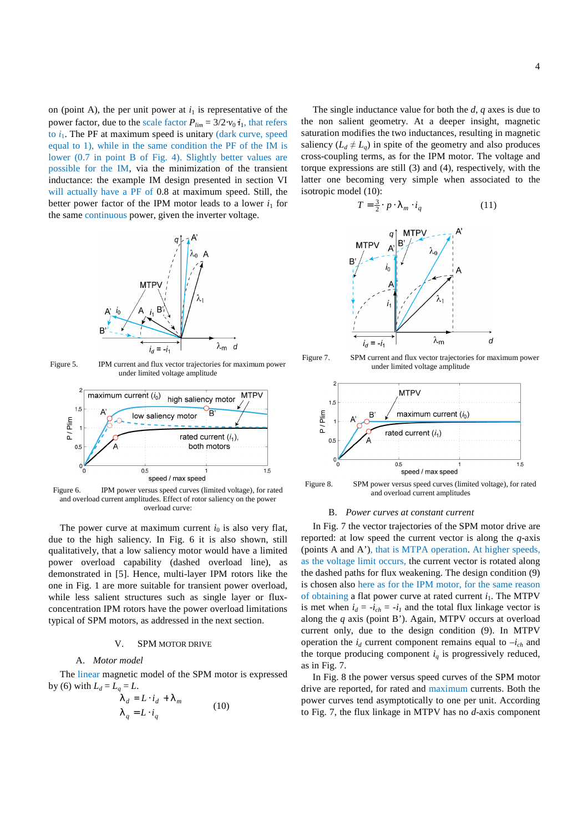on (point A), the per unit power at  $i_1$  is representative of the power factor, due to the scale factor  $P_{lim} = 3/2 \cdot v_0 \cdot i_1$ , that refers to  $i_1$ . The PF at maximum speed is unitary (dark curve, speed equal to 1), while in the same condition the PF of the IM is lower (0.7 in point B of Fig. 4). Slightly better values are possible for the IM, via the minimization of the transient inductance: the example IM design presented in section VI will actually have a PF of 0.8 at maximum speed. Still, the better power factor of the IPM motor leads to a lower  $i_1$  for the same continuous power, given the inverter voltage.



Figure 5. IPM current and flux vector trajectories for maximum power under limited voltage amplitude



Figure 6. IPM power versus speed curves (limited voltage), for rated and overload current amplitudes. Effect of rotor saliency on the power overload curve:

The power curve at maximum current  $i_0$  is also very flat, due to the high saliency. In Fig. 6 it is also shown, still qualitatively, that a low saliency motor would have a limited power overload capability (dashed overload line), as demonstrated in [5]. Hence, multi-layer IPM rotors like the one in Fig. 1 are more suitable for transient power overload, while less salient structures such as single layer or fluxconcentration IPM rotors have the power overload limitations typical of SPM motors, as addressed in the next section.

#### V. SPM MOTOR DRIVE

# A. *Motor model*

The linear magnetic model of the SPM motor is expressed by (6) with  $L_d = L_a = L$ .

$$
\lambda_d = L \cdot i_d + \lambda_m
$$
  
\n
$$
\lambda_q = L \cdot i_q
$$
 (10)

The single inductance value for both the *d*, *q* axes is due to the non salient geometry. At a deeper insight, magnetic saturation modifies the two inductances, resulting in magnetic saliency  $(L_d \neq L_q)$  in spite of the geometry and also produces cross-coupling terms, as for the IPM motor. The voltage and torque expressions are still (3) and (4), respectively, with the latter one becoming very simple when associated to the isotropic model (10):

$$
T = \frac{3}{2} \cdot p \cdot \lambda_m \cdot i_q \tag{11}
$$



Figure 7. SPM current and flux vector trajectories for maximum power under limited voltage amplitude



Figure 8. SPM power versus speed curves (limited voltage), for rated and overload current amplitudes

#### B. *Power curves at constant current*

In Fig. 7 the vector trajectories of the SPM motor drive are reported: at low speed the current vector is along the *q*-axis (points A and A'), that is MTPA operation. At higher speeds, as the voltage limit occurs, the current vector is rotated along the dashed paths for flux weakening. The design condition (9) is chosen also here as for the IPM motor, for the same reason of obtaining a flat power curve at rated current  $i_1$ . The MTPV is met when  $i_d = -i_{ch} = -i_l$  and the total flux linkage vector is along the *q* axis (point B'). Again, MTPV occurs at overload current only, due to the design condition (9). In MTPV operation the  $i_d$  current component remains equal to  $-i_{ch}$  and the torque producing component  $i_q$  is progressively reduced, as in Fig. 7.

In Fig. 8 the power versus speed curves of the SPM motor drive are reported, for rated and maximum currents. Both the power curves tend asymptotically to one per unit. According to Fig. 7, the flux linkage in MTPV has no *d*-axis component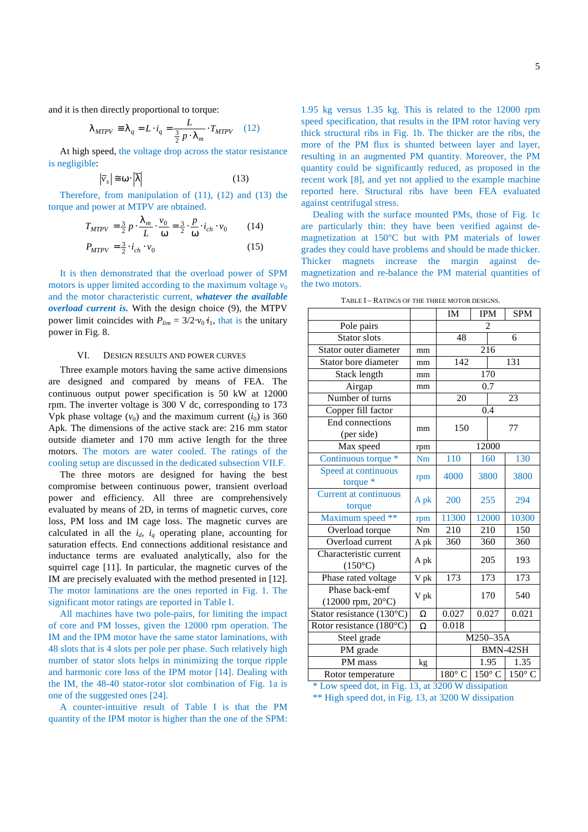and it is then directly proportional to torque:

$$
\lambda_{MTPV} \equiv \lambda_q = L \cdot i_q = \frac{L}{\frac{3}{2} p \cdot \lambda_m} \cdot T_{MTPV} \quad (12)
$$

At high speed, the voltage drop across the stator resistance is negligible:

$$
\left|\overline{v}_s\right| \cong \omega \cdot \left|\overline{\lambda}\right| \tag{13}
$$

Therefore, from manipulation of (11), (12) and (13) the torque and power at MTPV are obtained.

$$
T_{MTPV} = \frac{3}{2} p \cdot \frac{\lambda_m}{L} \cdot \frac{v_0}{\omega} = \frac{3}{2} \cdot \frac{p}{\omega} \cdot i_{ch} \cdot v_0 \tag{14}
$$
  

$$
P_{MTPV} = \frac{3}{2} \cdot i_{ch} \cdot v_0 \tag{15}
$$

It is then demonstrated that the overload power of SPM motors is upper limited according to the maximum voltage  $v_0$ and the motor characteristic current, *whatever the available overload current is.* With the design choice (9), the MTPV power limit coincides with  $P_{lim} = 3/2 \cdot v_0 \cdot i_1$ , that is the unitary power in Fig. 8.

#### VI. DESIGN RESULTS AND POWER CURVES

Three example motors having the same active dimensions are designed and compared by means of FEA. The continuous output power specification is 50 kW at 12000 rpm. The inverter voltage is 300 V dc, corresponding to 173 Vpk phase voltage  $(v_0)$  and the maximum current  $(i_0)$  is 360 Apk. The dimensions of the active stack are: 216 mm stator outside diameter and 170 mm active length for the three motors. The motors are water cooled. The ratings of the cooling setup are discussed in the dedicated subsection VII.F.

The three motors are designed for having the best compromise between continuous power, transient overload power and efficiency. All three are comprehensively evaluated by means of 2D, in terms of magnetic curves, core loss, PM loss and IM cage loss. The magnetic curves are calculated in all the  $i_d$ ,  $i_q$  operating plane, accounting for saturation effects. End connections additional resistance and inductance terms are evaluated analytically, also for the squirrel cage [11]. In particular, the magnetic curves of the IM are precisely evaluated with the method presented in [12]. The motor laminations are the ones reported in Fig. 1. The significant motor ratings are reported in Table I.

All machines have two pole-pairs, for limiting the impact of core and PM losses, given the 12000 rpm operation. The IM and the IPM motor have the same stator laminations, with 48 slots that is 4 slots per pole per phase. Such relatively high number of stator slots helps in minimizing the torque ripple and harmonic core loss of the IPM motor [14]. Dealing with the IM, the 48-40 stator-rotor slot combination of Fig. 1a is one of the suggested ones [24].

A counter-intuitive result of Table I is that the PM quantity of the IPM motor is higher than the one of the SPM:

1.95 kg versus 1.35 kg. This is related to the 12000 rpm speed specification, that results in the IPM rotor having very thick structural ribs in Fig. 1b. The thicker are the ribs, the more of the PM flux is shunted between layer and layer, resulting in an augmented PM quantity. Moreover, the PM quantity could be significantly reduced, as proposed in the recent work [8], and yet not applied to the example machine reported here. Structural ribs have been FEA evaluated against centrifugal stress.

Dealing with the surface mounted PMs, those of Fig. 1c are particularly thin: they have been verified against demagnetization at 150°C but with PM materials of lower grades they could have problems and should be made thicker. Thicker magnets increase the margin against demagnetization and re-balance the PM material quantities of the two motors.

TABLE I – RATINGS OF THE THREE MOTOR DESIGNS.

|                                                 |           | IM               | <b>IPM</b>     |     | <b>SPM</b>  |  |
|-------------------------------------------------|-----------|------------------|----------------|-----|-------------|--|
| Pole pairs                                      |           |                  | $\overline{c}$ |     |             |  |
| <b>Stator</b> slots                             |           | 48               |                |     | 6           |  |
| Stator outer diameter                           | mm        |                  | 216            |     |             |  |
| Stator bore diameter                            | mm        | 142              |                |     | 131         |  |
| Stack length                                    | mm        |                  | 170            |     |             |  |
| Airgap                                          | mm        | $\overline{0.7}$ |                |     |             |  |
| Number of turns                                 |           | 20               |                |     | 23          |  |
| Copper fill factor                              |           |                  | 0.4            |     |             |  |
| End connections                                 | 150<br>mm |                  |                |     | 77          |  |
| (per side)                                      |           |                  |                |     |             |  |
| Max speed                                       | rpm       |                  | 12000          |     |             |  |
| Continuous torque *                             | Nm        | 110              |                | 160 | 130         |  |
| Speed at continuous<br>torque $*$               | rpm       | 4000             | 3800           |     | 3800        |  |
| <b>Current at continuous</b><br>torque          | A pk      | 200              | 255            |     | 294         |  |
| Maximum speed **                                | rpm       | 11300            | 12000          |     | 10300       |  |
| Overload torque                                 | Nm        | 210              | 210            |     | 150         |  |
| Overload current                                | A pk      | 360              | 360            |     | 360         |  |
| Characteristic current<br>$(150^{\circ}C)$      | A pk      |                  | 205            |     | 193         |  |
| Phase rated voltage                             | V pk      | 173              | 173            |     | 173         |  |
| Phase back-emf<br>$(12000$ rpm, $20^{\circ}$ C) | V pk      |                  | 170            |     | 540         |  |
| Stator resistance (130°C)                       | Ω         | 0.027            | 0.027          |     | 0.021       |  |
| Rotor resistance $(180^{\circ}\text{C})$        | Ω         | 0.018            |                |     |             |  |
| Steel grade                                     |           | M250-35A         |                |     |             |  |
| PM grade                                        |           | BMN-42SH         |                |     |             |  |
| PM mass                                         | kg        |                  | 1.95           |     | 1.35        |  |
| Rotor temperature                               |           | $180^\circ$ C    |                |     | 150°C 150°C |  |

\* Low speed dot, in Fig. 13, at 3200 W dissipation

\*\* High speed dot, in Fig. 13, at 3200 W dissipation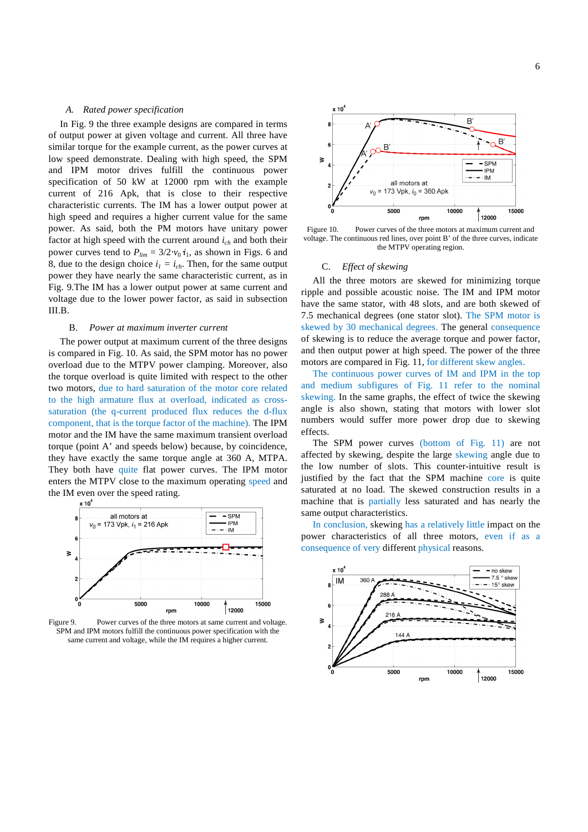#### *A. Rated power specification*

In Fig. 9 the three example designs are compared in terms of output power at given voltage and current. All three have similar torque for the example current, as the power curves at low speed demonstrate. Dealing with high speed, the SPM and IPM motor drives fulfill the continuous power specification of 50 kW at 12000 rpm with the example current of 216 Apk, that is close to their respective characteristic currents. The IM has a lower output power at high speed and requires a higher current value for the same power. As said, both the PM motors have unitary power factor at high speed with the current around *ich* and both their power curves tend to  $P_{lim} = 3/2 \cdot v_0 \cdot i_1$ , as shown in Figs. 6 and 8, due to the design choice  $i_l = i_{ch}$ . Then, for the same output power they have nearly the same characteristic current, as in Fig. 9.The IM has a lower output power at same current and voltage due to the lower power factor, as said in subsection III.B.

#### B. *Power at maximum inverter current*

The power output at maximum current of the three designs is compared in Fig. 10. As said, the SPM motor has no power overload due to the MTPV power clamping. Moreover, also the torque overload is quite limited with respect to the other two motors, due to hard saturation of the motor core related to the high armature flux at overload, indicated as crosssaturation (the q-current produced flux reduces the d-flux component, that is the torque factor of the machine). The IPM motor and the IM have the same maximum transient overload torque (point A' and speeds below) because, by coincidence, they have exactly the same torque angle at 360 A, MTPA. They both have quite flat power curves. The IPM motor enters the MTPV close to the maximum operating speed and the IM even over the speed rating.



Figure 9. Power curves of the three motors at same current and voltage. SPM and IPM motors fulfill the continuous power specification with the same current and voltage, while the IM requires a higher current.



Figure 10. Power curves of the three motors at maximum current and voltage. The continuous red lines, over point B' of the three curves, indicate the MTPV operating region.

#### C. *Effect of skewing*

All the three motors are skewed for minimizing torque ripple and possible acoustic noise. The IM and IPM motor have the same stator, with 48 slots, and are both skewed of 7.5 mechanical degrees (one stator slot). The SPM motor is skewed by 30 mechanical degrees. The general consequence of skewing is to reduce the average torque and power factor, and then output power at high speed. The power of the three motors are compared in Fig. 11, for different skew angles.

The continuous power curves of IM and IPM in the top and medium subfigures of Fig. 11 refer to the nominal skewing. In the same graphs, the effect of twice the skewing angle is also shown, stating that motors with lower slot numbers would suffer more power drop due to skewing effects.

The SPM power curves (bottom of Fig. 11) are not affected by skewing, despite the large skewing angle due to the low number of slots. This counter-intuitive result is justified by the fact that the SPM machine core is quite saturated at no load. The skewed construction results in a machine that is partially less saturated and has nearly the same output characteristics.

In conclusion, skewing has a relatively little impact on the power characteristics of all three motors, even if as a consequence of very different physical reasons.

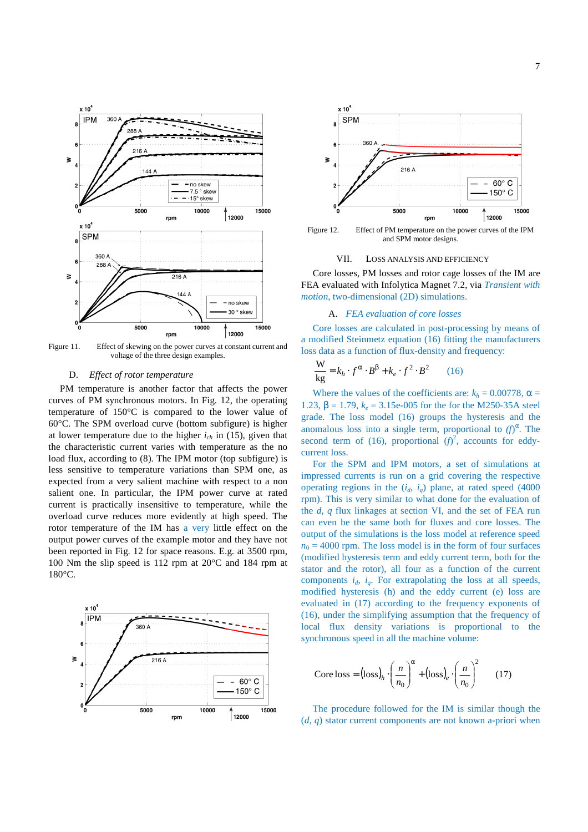

Figure 11. Effect of skewing on the power curves at constant current and voltage of the three design examples.

# D. *Effect of rotor temperature*

PM temperature is another factor that affects the power curves of PM synchronous motors. In Fig. 12, the operating temperature of 150°C is compared to the lower value of 60°C. The SPM overload curve (bottom subfigure) is higher at lower temperature due to the higher  $i_{ch}$  in (15), given that the characteristic current varies with temperature as the no load flux, according to (8). The IPM motor (top subfigure) is less sensitive to temperature variations than SPM one, as expected from a very salient machine with respect to a non salient one. In particular, the IPM power curve at rated current is practically insensitive to temperature, while the overload curve reduces more evidently at high speed. The rotor temperature of the IM has a very little effect on the output power curves of the example motor and they have not been reported in Fig. 12 for space reasons. E.g. at 3500 rpm, 100 Nm the slip speed is 112 rpm at 20°C and 184 rpm at 180°C.





Figure 12. Effect of PM temperature on the power curves of the IPM and SPM motor designs.

#### VII. LOSS ANALYSIS AND EFFICIENCY

Core losses, PM losses and rotor cage losses of the IM are FEA evaluated with Infolytica Magnet 7.2, via *Transient with motion*, two-dimensional (2D) simulations.

# A. *FEA evaluation of core losses*

Core losses are calculated in post-processing by means of a modified Steinmetz equation (16) fitting the manufacturers loss data as a function of flux-density and frequency:

$$
\frac{\mathbf{W}}{\mathbf{kg}} = k_h \cdot f^{\alpha} \cdot B^{\beta} + k_e \cdot f^2 \cdot B^2 \qquad (16)
$$

Where the values of the coefficients are:  $k_h = 0.00778$ ,  $\alpha =$ 1.23,  $β = 1.79$ ,  $k_e = 3.15e-005$  for the for the M250-35A steel grade. The loss model (16) groups the hysteresis and the anomalous loss into a single term, proportional to  $(f)^\alpha$ . The second term of (16), proportional  $(f)^2$ , accounts for eddycurrent loss.

For the SPM and IPM motors, a set of simulations at impressed currents is run on a grid covering the respective operating regions in the  $(i_d, i_q)$  plane, at rated speed (4000) rpm). This is very similar to what done for the evaluation of the *d*, *q* flux linkages at section VI, and the set of FEA run can even be the same both for fluxes and core losses. The output of the simulations is the loss model at reference speed  $n_0 = 4000$  rpm. The loss model is in the form of four surfaces (modified hysteresis term and eddy current term, both for the stator and the rotor), all four as a function of the current components  $i_d$ ,  $i_g$ . For extrapolating the loss at all speeds, modified hysteresis (h) and the eddy current (e) loss are evaluated in (17) according to the frequency exponents of (16), under the simplifying assumption that the frequency of local flux density variations is proportional to the synchronous speed in all the machine volume:

Core loss = 
$$
(loss)_h \cdot \left(\frac{n}{n_0}\right)^\alpha + (loss)_e \cdot \left(\frac{n}{n_0}\right)^2
$$
 (17)

The procedure followed for the IM is similar though the (*d*, *q*) stator current components are not known a-priori when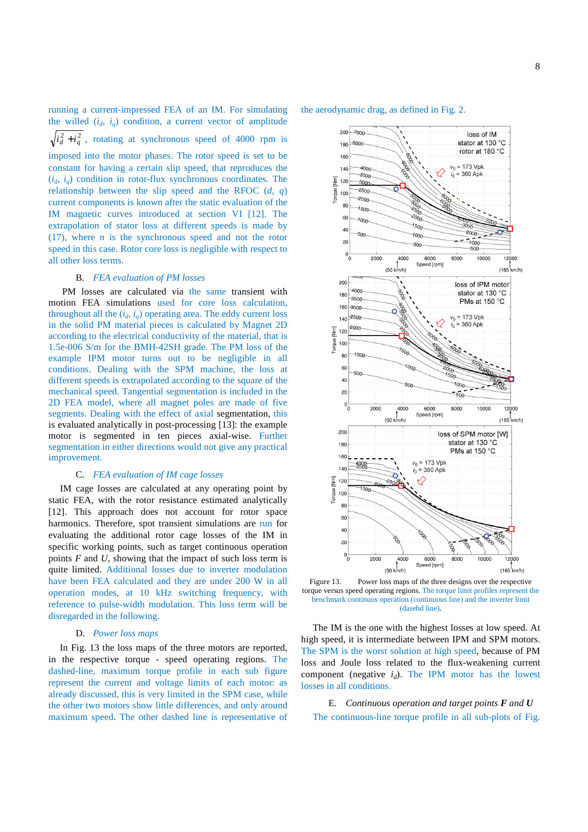running a current-impressed FEA of an IM. For simulating the willed  $(i_d, i_q)$  condition, a current vector of amplitude  $i_d^2 + i_q^2$ , rotating at synchronous speed of 4000 rpm is imposed into the motor phases. The rotor speed is set to be constant for having a certain slip speed, that reproduces the  $(i_d, i_q)$  condition in rotor-flux synchronous coordinates. The relationship between the slip speed and the RFOC (*d*, *q*) current components is known after the static evaluation of the IM magnetic curves introduced at section VI [12]. The extrapolation of stator loss at different speeds is made by (17), where *n* is the synchronous speed and not the rotor speed in this case. Rotor core loss is negligible with respect to all other loss terms.

# B. *FEA evaluation of PM losses*

PM losses are calculated via the same transient with motion FEA simulations used for core loss calculation, throughout all the  $(i_d, i_a)$  operating area. The eddy current loss in the solid PM material pieces is calculated by Magnet 2D according to the electrical conductivity of the material, that is 1.5e-006 S/m for the BMH-42SH grade. The PM loss of the example IPM motor turns out to be negligible in all conditions. Dealing with the SPM machine, the loss at different speeds is extrapolated according to the square of the mechanical speed. Tangential segmentation is included in the 2D FEA model, where all magnet poles are made of five segments. Dealing with the effect of axial segmentation, this is evaluated analytically in post-processing [13]: the example motor is segmented in ten pieces axial-wise. Further segmentation in either directions would not give any practical improvement.

#### C. *FEA evaluation of IM cage losses*

IM cage losses are calculated at any operating point by static FEA, with the rotor resistance estimated analytically [12]. This approach does not account for rotor space harmonics. Therefore, spot transient simulations are run for evaluating the additional rotor cage losses of the IM in specific working points, such as target continuous operation points *F* and *U*, showing that the impact of such loss term is quite limited. Additional losses due to inverter modulation have been FEA calculated and they are under 200 W in all operation modes, at 10 kHz switching frequency, with reference to pulse-width modulation. This loss term will be disregarded in the following.

#### D. *Power loss maps*

In Fig. 13 the loss maps of the three motors are reported, in the respective torque - speed operating regions. The dashed-line, maximum torque profile in each sub figure represent the current and voltage limits of each motor: as already discussed, this is very limited in the SPM case, while the other two motors show little differences, and only around maximum speed. The other dashed line is representative of





Figure 13. Power loss maps of the three designs over the respective torque versus speed operating regions. The torque limit profiles represent the benchmark continuos operation (continuous line) and the inverter limit (dasehd line).

The IM is the one with the highest losses at low speed. At high speed, it is intermediate between IPM and SPM motors. The SPM is the worst solution at high speed, because of PM loss and Joule loss related to the flux-weakening current component (negative  $i_d$ ). The IPM motor has the lowest losses in all conditions.

E. *Continuous operation and target points F and U* The continuous-line torque profile in all sub-plots of Fig.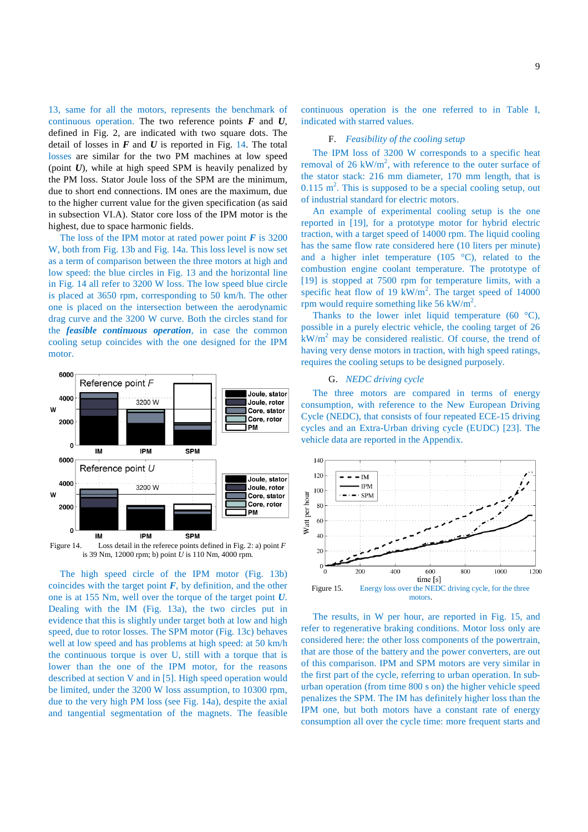13, same for all the motors, represents the benchmark of continuous operation. The two reference points *F* and *U*, defined in Fig. 2, are indicated with two square dots. The detail of losses in  $F$  and  $U$  is reported in Fig. 14. The total losses are similar for the two PM machines at low speed (point *U*), while at high speed SPM is heavily penalized by the PM loss. Stator Joule loss of the SPM are the minimum, due to short end connections. IM ones are the maximum, due to the higher current value for the given specification (as said in subsection VI.A). Stator core loss of the IPM motor is the highest, due to space harmonic fields.

The loss of the IPM motor at rated power point  $\vec{F}$  is 3200 W, both from Fig. 13b and Fig. 14a. This loss level is now set as a term of comparison between the three motors at high and low speed: the blue circles in Fig. 13 and the horizontal line in Fig. 14 all refer to 3200 W loss. The low speed blue circle is placed at 3650 rpm, corresponding to 50 km/h. The other one is placed on the intersection between the aerodynamic drag curve and the 3200 W curve. Both the circles stand for the *feasible continuous operation*, in case the common cooling setup coincides with the one designed for the IPM motor.



Figure 14. Loss detail in the referece points defined in Fig. 2: a) point *F* is 39 Nm, 12000 rpm; b) point *U* is 110 Nm, 4000 rpm.

The high speed circle of the IPM motor (Fig. 13b) coincides with the target point  $F$ , by definition, and the other one is at 155 Nm, well over the torque of the target point *U*. Dealing with the IM (Fig. 13a), the two circles put in evidence that this is slightly under target both at low and high speed, due to rotor losses. The SPM motor (Fig. 13c) behaves well at low speed and has problems at high speed: at 50 km/h the continuous torque is over U, still with a torque that is lower than the one of the IPM motor, for the reasons described at section V and in [5]. High speed operation would be limited, under the 3200 W loss assumption, to 10300 rpm, due to the very high PM loss (see Fig. 14a), despite the axial and tangential segmentation of the magnets. The feasible

continuous operation is the one referred to in Table I, indicated with starred values.

# F. *Feasibility of the cooling setup*

The IPM loss of 3200 W corresponds to a specific heat removal of 26 kW/ $m<sup>2</sup>$ , with reference to the outer surface of the stator stack: 216 mm diameter, 170 mm length, that is  $0.115 \text{ m}^2$ . This is supposed to be a special cooling setup, out of industrial standard for electric motors.

An example of experimental cooling setup is the one reported in [19], for a prototype motor for hybrid electric traction, with a target speed of 14000 rpm. The liquid cooling has the same flow rate considered here (10 liters per minute) and a higher inlet temperature (105 °C), related to the combustion engine coolant temperature. The prototype of [19] is stopped at 7500 rpm for temperature limits, with a specific heat flow of 19  $kW/m^2$ . The target speed of 14000 rpm would require something like 56 kW/m<sup>2</sup>.

Thanks to the lower inlet liquid temperature (60 $\degree$ C), possible in a purely electric vehicle, the cooling target of 26  $kW/m<sup>2</sup>$  may be considered realistic. Of course, the trend of having very dense motors in traction, with high speed ratings, requires the cooling setups to be designed purposely.

#### G. *NEDC driving cycle*

The three motors are compared in terms of energy consumption, with reference to the New European Driving Cycle (NEDC), that consists of four repeated ECE-15 driving cycles and an Extra-Urban driving cycle (EUDC) [23]. The vehicle data are reported in the Appendix.



The results, in W per hour, are reported in Fig. 15, and refer to regenerative braking conditions. Motor loss only are considered here: the other loss components of the powertrain, that are those of the battery and the power converters, are out of this comparison. IPM and SPM motors are very similar in the first part of the cycle, referring to urban operation. In suburban operation (from time 800 s on) the higher vehicle speed penalizes the SPM. The IM has definitely higher loss than the IPM one, but both motors have a constant rate of energy consumption all over the cycle time: more frequent starts and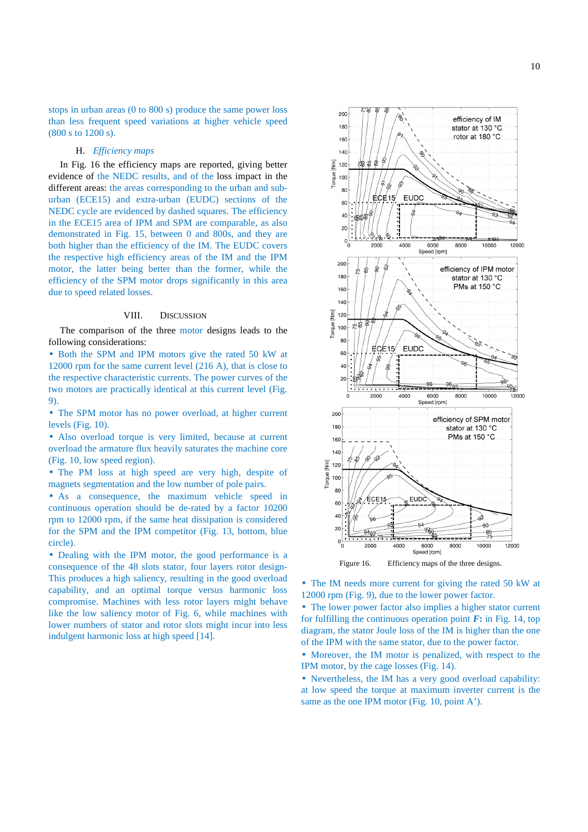stops in urban areas (0 to 800 s) produce the same power loss than less frequent speed variations at higher vehicle speed (800 s to 1200 s).

# H. *Efficiency maps*

In Fig. 16 the efficiency maps are reported, giving better evidence of the NEDC results, and of the loss impact in the different areas: the areas corresponding to the urban and suburban (ECE15) and extra-urban (EUDC) sections of the NEDC cycle are evidenced by dashed squares. The efficiency in the ECE15 area of IPM and SPM are comparable, as also demonstrated in Fig. 15, between 0 and 800s, and they are both higher than the efficiency of the IM. The EUDC covers the respective high efficiency areas of the IM and the IPM motor, the latter being better than the former, while the efficiency of the SPM motor drops significantly in this area due to speed related losses.

#### VIII. DISCUSSION

The comparison of the three motor designs leads to the following considerations:

• Both the SPM and IPM motors give the rated 50 kW at 12000 rpm for the same current level (216 A), that is close to the respective characteristic currents. The power curves of the two motors are practically identical at this current level (Fig. 9).

• The SPM motor has no power overload, at higher current levels (Fig. 10).

• Also overload torque is very limited, because at current overload the armature flux heavily saturates the machine core (Fig. 10, low speed region).

• The PM loss at high speed are very high, despite of magnets segmentation and the low number of pole pairs.

• As a consequence, the maximum vehicle speed in continuous operation should be de-rated by a factor 10200 rpm to 12000 rpm, if the same heat dissipation is considered for the SPM and the IPM competitor (Fig. 13, bottom, blue circle).

• Dealing with the IPM motor, the good performance is a consequence of the 48 slots stator, four layers rotor design-This produces a high saliency, resulting in the good overload capability, and an optimal torque versus harmonic loss compromise. Machines with less rotor layers might behave like the low saliency motor of Fig. 6, while machines with lower numbers of stator and rotor slots might incur into less indulgent harmonic loss at high speed [14].



• The IM needs more current for giving the rated 50 kW at 12000 rpm (Fig. 9), due to the lower power factor.

• The lower power factor also implies a higher stator current for fulfilling the continuous operation point  $\vec{F}$ **:** in Fig. 14, top diagram, the stator Joule loss of the IM is higher than the one of the IPM with the same stator, due to the power factor.

• Moreover, the IM motor is penalized, with respect to the IPM motor, by the cage losses (Fig. 14).

• Nevertheless, the IM has a very good overload capability: at low speed the torque at maximum inverter current is the same as the one IPM motor (Fig. 10, point A').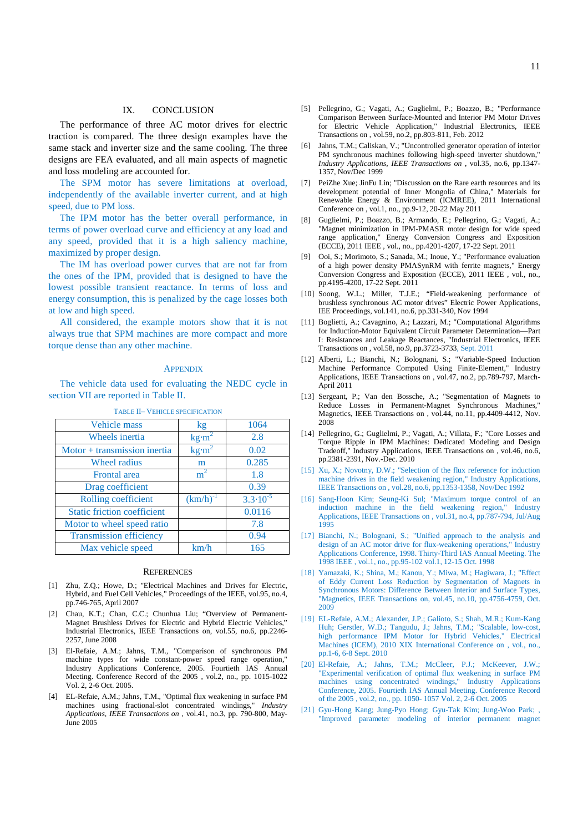# IX. CONCLUSION

The performance of three AC motor drives for electric traction is compared. The three design examples have the same stack and inverter size and the same cooling. The three designs are FEA evaluated, and all main aspects of magnetic and loss modeling are accounted for.

The SPM motor has severe limitations at overload, independently of the available inverter current, and at high speed, due to PM loss.

The IPM motor has the better overall performance, in terms of power overload curve and efficiency at any load and any speed, provided that it is a high saliency machine, maximized by proper design.

The IM has overload power curves that are not far from the ones of the IPM, provided that is designed to have the lowest possible transient reactance. In terms of loss and energy consumption, this is penalized by the cage losses both at low and high speed.

All considered, the example motors show that it is not always true that SPM machines are more compact and more torque dense than any other machine.

#### **APPENDIX**

The vehicle data used for evaluating the NEDC cycle in section VII are reported in Table II.

| Vehicle mass                       | kg                          | 1064                |
|------------------------------------|-----------------------------|---------------------|
| Wheels inertia                     | $\text{kg}\cdot \text{m}^2$ | 2.8                 |
| $Motor + transmission inertia$     | $\text{kg}\cdot \text{m}^2$ | 0.02                |
| Wheel radius                       | m                           | 0.285               |
| <b>Frontal</b> area                | m                           | 1.8                 |
| Drag coefficient                   |                             | 0.39                |
| Rolling coefficient                | $(km/h)^{-1}$               | $3.3 \cdot 10^{-5}$ |
| <b>Static friction coefficient</b> |                             | 0.0116              |
| Motor to wheel speed ratio         |                             | 7.8                 |
| Transmission efficiency            |                             | 0.94                |
| Max vehicle speed                  | km/h                        | 165                 |

#### TABLE II– VEHICLE SPECIFICATION

#### **REFERENCES**

- [1] Zhu, Z.Q.; Howe, D.; "Electrical Machines and Drives for Electric, Hybrid, and Fuel Cell Vehicles," Proceedings of the IEEE, vol.95, no.4, pp.746-765, April 2007
- [2] Chau, K.T.; Chan, C.C.; Chunhua Liu; "Overview of Permanent-Magnet Brushless Drives for Electric and Hybrid Electric Vehicles," Industrial Electronics, IEEE Transactions on, vol.55, no.6, pp.2246- 2257, June 2008
- [3] El-Refaie, A.M.; Jahns, T.M., "Comparison of synchronous PM machine types for wide constant-power speed range operation," Industry Applications Conference, 2005. Fourtieth IAS Annual Meeting. Conference Record of the 2005 , vol.2, no., pp. 1015-1022 Vol. 2, 2-6 Oct. 2005.
- [4] EL-Refaie, A.M.; Jahns, T.M., "Optimal flux weakening in surface PM machines using fractional-slot concentrated windings," *Industry Applications, IEEE Transactions on* , vol.41, no.3, pp. 790-800, May-June 2005
- [5] Pellegrino, G.; Vagati, A.; Guglielmi, P.; Boazzo, B.; "Performance Comparison Between Surface-Mounted and Interior PM Motor Drives for Electric Vehicle Application," Industrial Electronics, IEEE Transactions on , vol.59, no.2, pp.803-811, Feb. 2012
- [6] Jahns, T.M.; Caliskan, V.; "Uncontrolled generator operation of interior PM synchronous machines following high-speed inverter shutdown, *Industry Applications, IEEE Transactions on* , vol.35, no.6, pp.1347- 1357, Nov/Dec 1999
- [7] PeiZhe Xue; JinFu Lin; "Discussion on the Rare earth resources and its development potential of Inner Mongolia of China," Materials for Renewable Energy & Environment (ICMREE), 2011 International Conference on , vol.1, no., pp.9-12, 20-22 May 2011
- [8] Guglielmi, P.; Boazzo, B.; Armando, E.; Pellegrino, G.; Vagati, A.; "Magnet minimization in IPM-PMASR motor design for wide speed range application," Energy Conversion Congress and Exposition (ECCE), 2011 IEEE , vol., no., pp.4201-4207, 17-22 Sept. 2011
- [9] Ooi, S.; Morimoto, S.; Sanada, M.; Inoue, Y.; "Performance evaluation of a high power density PMASynRM with ferrite magnets," Energy Conversion Congress and Exposition (ECCE), 2011 IEEE , vol., no., pp.4195-4200, 17-22 Sept. 2011
- [10] Soong, W.L.; Miller, T.J.E.; "Field-weakening performance of brushless synchronous AC motor drives" Electric Power Applications, IEE Proceedings, vol.141, no.6, pp.331-340, Nov 1994
- [11] Boglietti, A.; Cavagnino, A.; Lazzari, M.; "Computational Algorithms for Induction-Motor Equivalent Circuit Parameter Determination—Part I: Resistances and Leakage Reactances, "Industrial Electronics, IEEE Transactions on , vol.58, no.9, pp.3723-3733, Sept. 2011
- [12] Alberti, L.; Bianchi, N.; Bolognani, S.; "Variable-Speed Induction Machine Performance Computed Using Finite-Element," Industry Applications, IEEE Transactions on , vol.47, no.2, pp.789-797, March-April 2011
- [13] Sergeant, P.; Van den Bossche, A.; "Segmentation of Magnets to Reduce Losses in Permanent-Magnet Synchronous Machines, Magnetics, IEEE Transactions on , vol.44, no.11, pp.4409-4412, Nov. 2008
- [14] Pellegrino, G.; Guglielmi, P.; Vagati, A.; Villata, F.; "Core Losses and Torque Ripple in IPM Machines: Dedicated Modeling and Design Tradeoff," Industry Applications, IEEE Transactions on , vol.46, no.6, pp.2381-2391, Nov.-Dec. 2010
- [15] Xu, X.; Novotny, D.W.; "Selection of the flux reference for induction machine drives in the field weakening region," Industry Applications, IEEE Transactions on , vol.28, no.6, pp.1353-1358, Nov/Dec 1992
- [16] Sang-Hoon Kim; Seung-Ki Sul; "Maximum torque control of an induction machine in the field weakening region," Industry Applications, IEEE Transactions on , vol.31, no.4, pp.787-794, Jul/Aug 1995
- [17] Bianchi, N.; Bolognani, S.; "Unified approach to the analysis and design of an AC motor drive for flux-weakening operations," Industry Applications Conference, 1998. Thirty-Third IAS Annual Meeting. The 1998 IEEE , vol.1, no., pp.95-102 vol.1, 12-15 Oct. 1998
- [18] Yamazaki, K.; Shina, M.; Kanou, Y.; Miwa, M.; Hagiwara, J.; "Effect of Eddy Current Loss Reduction by Segmentation of Magnets in Synchronous Motors: Difference Between Interior and Surface Types, "Magnetics, IEEE Transactions on, vol.45, no.10, pp.4756-4759, Oct. 2009
- [19] EL-Refaie, A.M.; Alexander, J.P.; Galioto, S.; Shah, M.R.; Kum-Kang Huh: Gerstler, W.D.; Tangudu, J.; Jahns, T.M.; "Scalable, low-cost, high performance IPM Motor for Hybrid Vehicles," Electrical Machines (ICEM), 2010 XIX International Conference on , vol., no., pp.1-6, 6-8 Sept. 2010
- [20] El-Refaie, A.; Jahns, T.M.; McCleer, P.J.; McKeever, J.W.; "Experimental verification of optimal flux weakening in surface PM machines using concentrated windings," Industry Applications Conference, 2005. Fourtieth IAS Annual Meeting. Conference Record of the 2005 , vol.2, no., pp. 1050- 1057 Vol. 2, 2-6 Oct. 2005
- [21] Gyu-Hong Kang; Jung-Pyo Hong; Gyu-Tak Kim; Jung-Woo Park; "Improved parameter modeling of interior permanent magnet